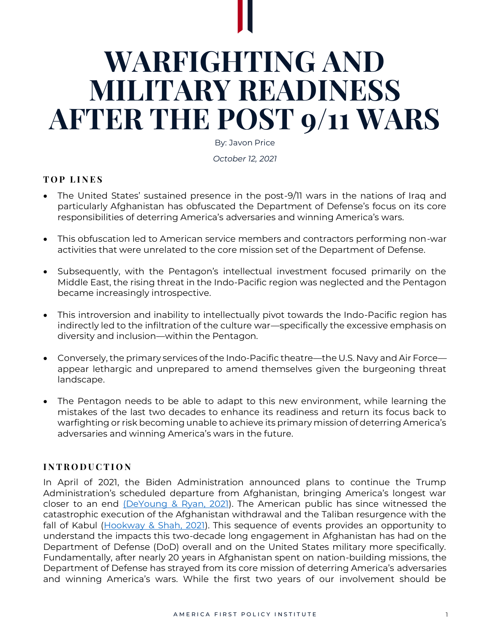# **WARFIGHTING AND MILITARY READINESS AFTER THE POST 9/11 WARS**

By: Javon Price

*October 12, 2021* 

## **T O P L I N E S**

- The United States' sustained presence in the post-9/11 wars in the nations of Iraq and particularly Afghanistan has obfuscated the Department of Defense's focus on its core responsibilities of deterring America's adversaries and winning America's wars.
- This obfuscation led to American service members and contractors performing non-war activities that were unrelated to the core mission set of the Department of Defense.
- Subsequently, with the Pentagon's intellectual investment focused primarily on the Middle East, the rising threat in the Indo-Pacific region was neglected and the Pentagon became increasingly introspective.
- This introversion and inability to intellectually pivot towards the Indo-Pacific region has indirectly led to the infiltration of the culture war—specifically the excessive emphasis on diversity and inclusion—within the Pentagon.
- Conversely, the primary services of the Indo-Pacific theatre—the U.S. Navy and Air Force appear lethargic and unprepared to amend themselves given the burgeoning threat landscape.
- The Pentagon needs to be able to adapt to this new environment, while learning the mistakes of the last two decades to enhance its readiness and return its focus back to warfighting or risk becoming unable to achieve its primary mission of deterring America's adversaries and winning America's wars in the future.

# **I N T R O D U C T I O N**

In April of 2021, the Biden Administration announced plans to continue the Trump Administration's scheduled departure from Afghanistan, bringing America's longest war closer to an end [\(DeYoung & Ryan, 2021\)](https://www.washingtonpost.com/national-security/biden-us-troop-withdrawal-afghanistan/2021/04/13/918c3cae-9beb-11eb-8a83-3bc1fa69c2e8_story.html). The American public has since witnessed the catastrophic execution of the Afghanistan withdrawal and the Taliban resurgence with the fall of Kabul [\(Hookway & Shah, 2021\)](https://www.wsj.com/articles/whats-happening-in-afghanistan-11629138516). This sequence of events provides an opportunity to understand the impacts this two-decade long engagement in Afghanistan has had on the Department of Defense (DoD) overall and on the United States military more specifically. Fundamentally, after nearly 20 years in Afghanistan spent on nation-building missions, the Department of Defense has strayed from its core mission of deterring America's adversaries and winning America's wars. While the first two years of our involvement should be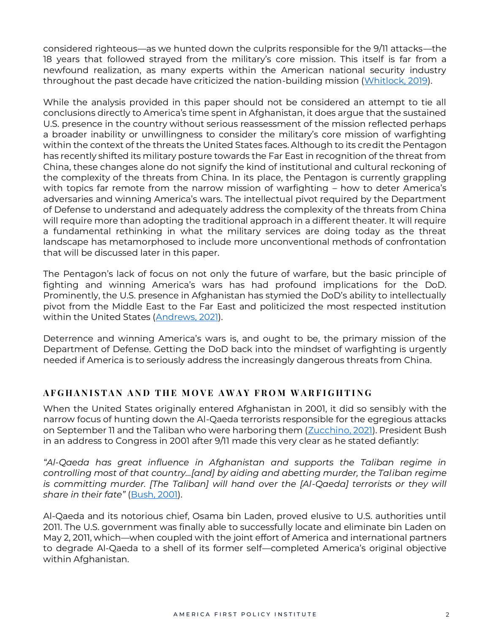considered righteous—as we hunted down the culprits responsible for the 9/11 attacks—the 18 years that followed strayed from the military's core mission. This itself is far from a newfound realization, as many experts within the American national security industry throughout the past decade have criticized the nation-building mission [\(Whitlock, 2019\)](https://www.washingtonpost.com/graphics/2019/investigations/afghanistan-papers/afghanistan-war-nation-building/).

While the analysis provided in this paper should not be considered an attempt to tie all conclusions directly to America's time spent in Afghanistan, it does argue that the sustained U.S. presence in the country without serious reassessment of the mission reflected perhaps a broader inability or unwillingness to consider the military's core mission of warfighting within the context of the threats the United States faces. Although to its credit the Pentagon has recently shifted its military posture towards the Far East in recognition of the threat from China, these changes alone do not signify the kind of institutional and cultural reckoning of the complexity of the threats from China. In its place, the Pentagon is currently grappling with topics far remote from the narrow mission of warfighting – how to deter America's adversaries and winning America's wars. The intellectual pivot required by the Department of Defense to understand and adequately address the complexity of the threats from China will require more than adopting the traditional approach in a different theater. It will require a fundamental rethinking in what the military services are doing today as the threat landscape has metamorphosed to include more unconventional methods of confrontation that will be discussed later in this paper.

The Pentagon's lack of focus on not only the future of warfare, but the basic principle of fighting and winning America's wars has had profound implications for the DoD. Prominently, the U.S. presence in Afghanistan has stymied the DoD's ability to intellectually pivot from the Middle East to the Far East and politicized the most respected institution within the United States [\(Andrews, 2021\)](https://www.usatoday.com/story/money/2019/07/08/military-is-public-institution-americans-trust-most/39663793/).

Deterrence and winning America's wars is, and ought to be, the primary mission of the Department of Defense. Getting the DoD back into the mindset of warfighting is urgently needed if America is to seriously address the increasingly dangerous threats from China.

# **A F G H A N I S T A N A N D T H E M O V E A W A Y F R O M W A R F I G H T I N G**

When the United States originally entered Afghanistan in 2001, it did so sensibly with the narrow focus of hunting down the Al-Qaeda terrorists responsible for the egregious attacks on September 11 and the Taliban who were harboring them [\(Zucchino, 2021\)](https://www.nytimes.com/article/afghanistan-war-us.html). President Bush in an address to Congress in 2001 after 9/11 made this very clear as he stated defiantly:

*"Al-Qaeda has great influence in Afghanistan and supports the Taliban regime in controlling most of that country…[and] by aiding and abetting murder, the Taliban regime is committing murder. [The Taliban] will hand over the [AI-Qaeda] terrorists or they will share in their fate"* [\(Bush, 2001\)](https://www.washingtonpost.com/wp-srv/nation/specials/attacked/transcripts/bushaddress_092001.html).

Al-Qaeda and its notorious chief, Osama bin Laden, proved elusive to U.S. authorities until 2011. The U.S. government was finally able to successfully locate and eliminate bin Laden on May 2, 2011, which—when coupled with the joint effort of America and international partners to degrade Al-Qaeda to a shell of its former self—completed America's original objective within Afghanistan.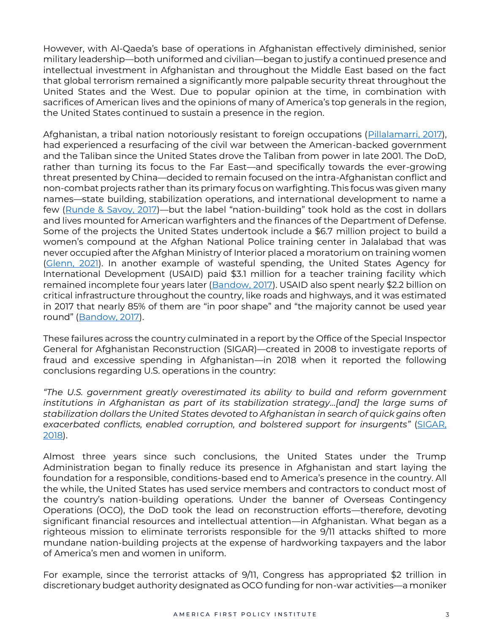However, with Al-Qaeda's base of operations in Afghanistan effectively diminished, senior military leadership—both uniformed and civilian—began to justify a continued presence and intellectual investment in Afghanistan and throughout the Middle East based on the fact that global terrorism remained a significantly more palpable security threat throughout the United States and the West. Due to popular opinion at the time, in combination with sacrifices of American lives and the opinions of many of America's top generals in the region, the United States continued to sustain a presence in the region.

Afghanistan, a tribal nation notoriously resistant to foreign occupations [\(Pillalamarri, 2017\)](https://thediplomat.com/2017/06/why-is-afghanistan-the-graveyard-of-empires/), had experienced a resurfacing of the civil war between the American-backed government and the Taliban since the United States drove the Taliban from power in late 2001. The DoD, rather than turning its focus to the Far East—and specifically towards the ever-growing threat presented by China—decided to remain focused on the intra-Afghanistan conflict and non-combat projects rather than its primary focus on warfighting. This focus was given many names—state building, stabilization operations, and international development to name a few [\(Runde & Savoy, 2017\)](https://www.csis.org/analysis/nation-building-any-other-name)—but the label "nation-building" took hold as the cost in dollars and lives mounted for American warfighters and the finances of the Department of Defense. Some of the projects the United States undertook include a \$6.7 million project to build a women's compound at the Afghan National Police training center in Jalalabad that was never occupied after the Afghan Ministry of Interior placed a moratorium on training women [\(Glenn, 2021\)](https://www.washingtontimes.com/news/2021/mar/1/us-wasted-billions-afghan-construction-projects-ig/). In another example of wasteful spending, the United States Agency for International Development (USAID) paid \$3.1 million for a teacher training facility which remained incomplete four years later [\(Bandow, 2017\)](https://www.forbes.com/sites/dougbandow/2017/03/01/the-nation-building-experiment-that-failed-time-for-u-s-to-leave-afghanistan/?sh=18fb79c065b2). USAID also spent nearly \$2.2 billion on critical infrastructure throughout the country, like roads and highways, and it was estimated in 2017 that nearly 85% of them are "in poor shape" and "the majority cannot be used year round" ([Bandow, 2017\)](https://www.forbes.com/sites/dougbandow/2017/03/01/the-nation-building-experiment-that-failed-time-for-u-s-to-leave-afghanistan/?sh=18fb79c065b2).

These failures across the country culminated in a report by the Office of the Special Inspector General for Afghanistan Reconstruction (SIGAR)—created in 2008 to investigate reports of fraud and excessive spending in Afghanistan—in 2018 when it reported the following conclusions regarding U.S. operations in the country:

*"The U.S. government greatly overestimated its ability to build and reform government institutions in Afghanistan as part of its stabilization strategy…[and] the large sums of stabilization dollars the United States devoted to Afghanistan in search of quick gains often exacerbated conflicts, enabled corruption, and bolstered support for insurgents"* [\(SIGAR,](https://www.sigar.mil/pdf/lessonslearned/SIGAR-18-48-LL.pdf)  [2018\)](https://www.sigar.mil/pdf/lessonslearned/SIGAR-18-48-LL.pdf).

Almost three years since such conclusions, the United States under the Trump Administration began to finally reduce its presence in Afghanistan and start laying the foundation for a responsible, conditions-based end to America's presence in the country. All the while, the United States has used service members and contractors to conduct most of the country's nation-building operations. Under the banner of Overseas Contingency Operations (OCO), the DoD took the lead on reconstruction efforts—therefore, devoting significant financial resources and intellectual attention—in Afghanistan. What began as a righteous mission to eliminate terrorists responsible for the 9/11 attacks shifted to more mundane nation-building projects at the expense of hardworking taxpayers and the labor of America's men and women in uniform.

For example, since the terrorist attacks of 9/11, Congress has appropriated \$2 trillion in discretionary budget authority designated as OCO funding for non-war activities—a moniker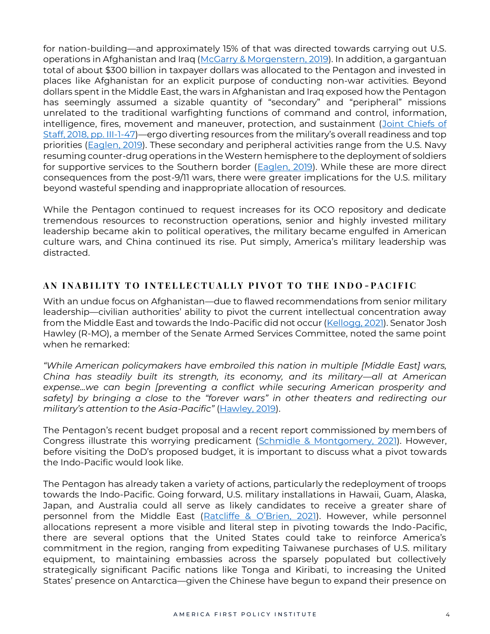for nation-building—and approximately 15% of that was directed towards carrying out U.S. operations in Afghanistan and Iraq [\(McGarry & Morgenstern, 2019\)](https://fas.org/sgp/crs/natsec/R44519.pdf). In addition, a gargantuan total of about \$300 billion in taxpayer dollars was allocated to the Pentagon and invested in places like Afghanistan for an explicit purpose of conducting non-war activities. Beyond dollars spent in the Middle East, the wars in Afghanistan and Iraq exposed how the Pentagon has seemingly assumed a sizable quantity of "secondary" and "peripheral" missions unrelated to the traditional warfighting functions of command and control, information, intelligence, fires, movement and maneuver, protection, and sustainment [\(Joint Chiefs of](https://www.jcs.mil/Portals/36/Documents/Doctrine/pubs/jp3_0ch1.pdf)  [Staff, 2018, pp. III-1-47\)](https://www.jcs.mil/Portals/36/Documents/Doctrine/pubs/jp3_0ch1.pdf)—ergo diverting resources from the military's overall readiness and top priorities [\(Eaglen, 2019\)](https://warontherocks.com/2019/10/just-say-no-the-pentagon-needs-to-drop-the-distractions-and-move-great-power-competition-beyond-lip-service/). These secondary and peripheral activities range from the U.S. Navy resuming counter-drug operations in the Western hemisphere to the deployment of soldiers for supportive services to the Southern border [\(Eaglen, 2019\)](https://warontherocks.com/2019/10/just-say-no-the-pentagon-needs-to-drop-the-distractions-and-move-great-power-competition-beyond-lip-service/). While these are more direct consequences from the post-9/11 wars, there were greater implications for the U.S. military beyond wasteful spending and inappropriate allocation of resources.

While the Pentagon continued to request increases for its OCO repository and dedicate tremendous resources to reconstruction operations, senior and highly invested military leadership became akin to political operatives, the military became engulfed in American culture wars, and China continued its rise. Put simply, America's military leadership was distracted.

#### **A N I N A B I L I T Y T O I N T E L L E C T U A L L Y P I V O T T O T H E I N D O - P A C I F I C**

With an undue focus on Afghanistan—due to flawed recommendations from senior military leadership—civilian authorities' ability to pivot the current intellectual concentration away from the Middle East and towards the Indo-Pacific did not occur [\(Kellogg, 2021\)](https://www.newsweek.com/lesson-afghanistan-our-military-must-remain-focused-its-mission-opinion-1619858). Senator Josh Hawley (R-MO), a member of the Senate Armed Services Committee, noted the same point when he remarked:

*"While American policymakers have embroiled this nation in multiple [Middle East] wars, China has steadily built its strength, its economy, and its military—all at American expense...we can begin [preventing a conflict while securing American prosperity and safety] by bringing a close to the "forever wars" in other theaters and redirecting our military's attention to the Asia-Pacific"* [\(Hawley, 2019\)](https://www.wsj.com/articles/end-forever-wars-and-face-chinas-threat-11574634656).

The Pentagon's recent budget proposal and a recent report commissioned by members of Congress illustrate this worrying predicament [\(Schmidle & Montgomery, 2021\)](https://www.cotton.senate.gov/imo/media/doc/navy_report.pdf). However, before visiting the DoD's proposed budget, it is important to discuss what a pivot towards the Indo-Pacific would look like.

The Pentagon has already taken a variety of actions, particularly the redeployment of troops towards the Indo-Pacific. Going forward, U.S. military installations in Hawaii, Guam, Alaska, Japan, and Australia could all serve as likely candidates to receive a greater share of personnel from the Middle East ([Ratcliffe & O'Brien, 202](https://foreignpolicy.com/2021/08/18/afghanistan-withdrawal-biden-indo-pacific-military-china-us-allies-credibility/)1). However, while personnel allocations represent a more visible and literal step in pivoting towards the Indo-Pacific, there are several options that the United States could take to reinforce America's commitment in the region, ranging from expediting Taiwanese purchases of U.S. military equipment, to maintaining embassies across the sparsely populated but collectively strategically significant Pacific nations like Tonga and Kiribati, to increasing the United States' presence on Antarctica—given the Chinese have begun to expand their presence on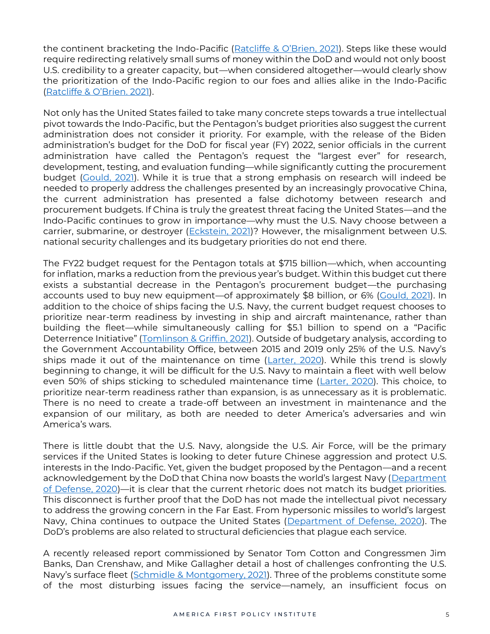the continent bracketing the Indo-Pacific ([Ratcliffe & O'Brien, 2021](https://foreignpolicy.com/2021/08/18/afghanistan-withdrawal-biden-indo-pacific-military-china-us-allies-credibility/)). Steps like these would require redirecting relatively small sums of money within the DoD and would not only boost U.S. credibility to a greater capacity, but—when considered altogether—would clearly show the prioritization of the Indo-Pacific region to our foes and allies alike in the Indo-Pacific ([Ratcliffe & O'Brien. 2021](https://foreignpolicy.com/2021/08/18/afghanistan-withdrawal-biden-indo-pacific-military-china-us-allies-credibility/)).

Not only has the United States failed to take many concrete steps towards a true intellectual pivot towards the Indo-Pacific, but the Pentagon's budget priorities also suggest the current administration does not consider it priority. For example, with the release of the Biden administration's budget for the DoD for fiscal year (FY) 2022, senior officials in the current administration have called the Pentagon's request the "largest ever" for research, development, testing, and evaluation funding—while significantly cutting the procurement budget [\(Gould, 2021\)](https://www.defensenews.com/congress/2021/05/28/eyeing-china-biden-defense-budget-boosts-research-and-cuts-procurement/). While it is true that a strong emphasis on research will indeed be needed to properly address the challenges presented by an increasingly provocative China, the current administration has presented a false dichotomy between research and procurement budgets. If China is truly the greatest threat facing the United States—and the Indo-Pacific continues to grow in importance—why must the U.S. Navy choose between a carrier, submarine, or destroyer [\(Eckstein, 2021\)](https://www.defensenews.com/naval/2021/06/08/memo-navy-will-have-to-pick-between-its-future-destroyer-fighter-and-sub-in-fiscal-2023-planning/)? However, the misalignment between U.S. national security challenges and its budgetary priorities do not end there.

The FY22 budget request for the Pentagon totals at \$715 billion—which, when accounting for inflation, marks a reduction from the previous year's budget. Within this budget cut there exists a substantial decrease in the Pentagon's procurement budget—the purchasing accounts used to buy new equipment—of approximately \$8 billion, or 6% [\(Gould, 2021\)](https://www.defensenews.com/congress/2021/05/28/eyeing-china-biden-defense-budget-boosts-research-and-cuts-procurement/). In addition to the choice of ships facing the U.S. Navy, the current budget request chooses to prioritize near-term readiness by investing in ship and aircraft maintenance, rather than building the fleet—while simultaneously calling for \$5.1 billion to spend on a "Pacific Deterrence Initiative" ([Tomlinson & Griffin, 2021\)](https://www.foxnews.com/us/biden-defense-budget-warships-china). Outside of budgetary analysis, according to the Government Accountability Office, between 2015 and 2019 only 25% of the U.S. Navy's ships made it out of the maintenance on time [\(Larter, 2020\)](https://www.defensenews.com/naval/2020/09/19/is-the-us-navy-winning-the-war-on-maintenance/). While this trend is slowly beginning to change, it will be difficult for the U.S. Navy to maintain a fleet with well below even 50% of ships sticking to scheduled maintenance time [\(Larter, 2020\)](https://www.defensenews.com/naval/2020/09/19/is-the-us-navy-winning-the-war-on-maintenance/). This choice, to prioritize near-term readiness rather than expansion, is as unnecessary as it is problematic. There is no need to create a trade-off between an investment in maintenance and the expansion of our military, as both are needed to deter America's adversaries and win America's wars.

There is little doubt that the U.S. Navy, alongside the U.S. Air Force, will be the primary services if the United States is looking to deter future Chinese aggression and protect U.S. interests in the Indo-Pacific. Yet, given the budget proposed by the Pentagon—and a recent acknowledgement by the DoD that China now boasts the world's largest Navy (Department [of Defense, 2020\)](https://media.defense.gov/2020/Sep/01/2002488689/-1/-1/1/2020-DOD-CHINA-MILITARY-POWER-REPORT-FINAL.PDF)—it is clear that the current rhetoric does not match its budget priorities. This disconnect is further proof that the DoD has not made the intellectual pivot necessary to address the growing concern in the Far East. From hypersonic missiles to world's largest Navy, China continues to outpace the United States [\(Department of Defense, 2020\)](https://media.defense.gov/2020/Sep/01/2002488689/-1/-1/1/2020-DOD-CHINA-MILITARY-POWER-REPORT-FINAL.PDF). The DoD's problems are also related to structural deficiencies that plague each service.

A recently released report commissioned by Senator Tom Cotton and Congressmen Jim Banks, Dan Crenshaw, and Mike Gallagher detail a host of challenges confronting the U.S. Navy's surface fleet ([Schmidle & Montgomery, 2021\)](https://www.cotton.senate.gov/imo/media/doc/navy_report.pdf). Three of the problems constitute some of the most disturbing issues facing the service—namely, an insufficient focus on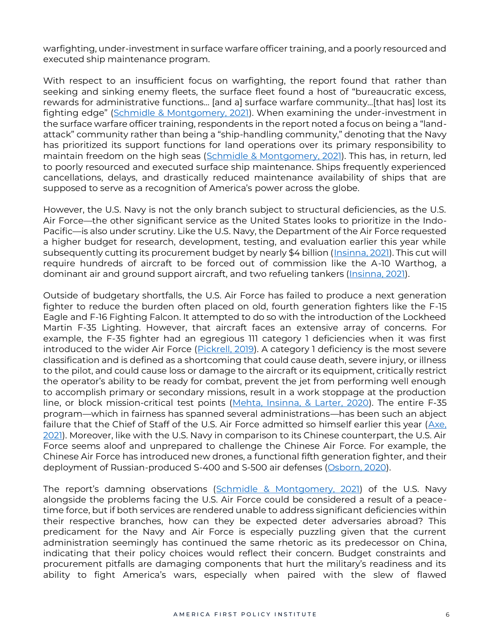warfighting, under-investment in surface warfare officer training, and a poorly resourced and executed ship maintenance program.

With respect to an insufficient focus on warfighting, the report found that rather than seeking and sinking enemy fleets, the surface fleet found a host of "bureaucratic excess, rewards for administrative functions… [and a] surface warfare community…[that has] lost its fighting edge" [\(Schmidle & Montgomery, 2021\)](https://www.cotton.senate.gov/imo/media/doc/navy_report.pdf). When examining the under-investment in the surface warfare officer training, respondents in the report noted a focus on being a "landattack" community rather than being a "ship-handling community," denoting that the Navy has prioritized its support functions for land operations over its primary responsibility to maintain freedom on the high seas [\(Schmidle & Montgomery, 2021\)](https://www.cotton.senate.gov/imo/media/doc/navy_report.pdf). This has, in return, led to poorly resourced and executed surface ship maintenance. Ships frequently experienced cancellations, delays, and drastically reduced maintenance availability of ships that are supposed to serve as a recognition of America's power across the globe.

However, the U.S. Navy is not the only branch subject to structural deficiencies, as the U.S. Air Force—the other significant service as the United States looks to prioritize in the Indo-Pacific—is also under scrutiny. Like the U.S. Navy, the Department of the Air Force requested a higher budget for research, development, testing, and evaluation earlier this year while subsequently cutting its procurement budget by nearly \$4 billion [\(Insinna, 2021\)](https://www.defensenews.com/congress/budget/2021/05/28/us-air-force-to-mothball-dozens-of-a-10s-f-15s-and-f-16s-in-fy22-budget/). This cut will require hundreds of aircraft to be forced out of commission like the A-10 Warthog, a dominant air and ground support aircraft, and two refueling tankers [\(Insinna, 2021\)](https://www.defensenews.com/congress/budget/2021/05/28/us-air-force-to-mothball-dozens-of-a-10s-f-15s-and-f-16s-in-fy22-budget/).

Outside of budgetary shortfalls, the U.S. Air Force has failed to produce a next generation fighter to reduce the burden often placed on old, fourth generation fighters like the F-15 Eagle and F-16 Fighting Falcon. It attempted to do so with the introduction of the Lockheed Martin F-35 Lighting. However, that aircraft faces an extensive array of concerns. For example, the F-35 fighter had an egregious 111 category 1 deficiencies when it was first introduced to the wider Air Force [\(Pickrell, 2019\)](https://www.businessinsider.com/f-35-still-struggling-with-more-than-dozen-big-problems-2019-6). A category 1 deficiency is the most severe classification and is defined as a shortcoming that could cause death, severe injury, or illness to the pilot, and could cause loss or damage to the aircraft or its equipment, critically restrict the operator's ability to be ready for combat, prevent the jet from performing well enough to accomplish primary or secondary missions, result in a work stoppage at the production line, or block mission-critical test points [\(Mehta, Insinna, & Larter, 2020\)](https://www.defensenews.com/smr/hidden-troubles-f35/2020/04/24/five-f-35-issues-have-been-downgraded-but-they-remain-unsolved/). The entire F-35 program—which in fairness has spanned several administrations—has been such an abject failure that the Chief of Staff of the U.S. Air Force admitted so himself earlier this year (Axe. [2021\)](https://www.forbes.com/sites/davidaxe/2021/02/23/the-us-air-force-just-admitted-the-f-35-stealth-fighter-has-failed/?sh=1b2a6dae1b16). Moreover, like with the U.S. Navy in comparison to its Chinese counterpart, the U.S. Air Force seems aloof and unprepared to challenge the Chinese Air Force. For example, the Chinese Air Force has introduced new drones, a functional fifth generation fighter, and their deployment of Russian-produced S-400 and S-500 air defenses [\(Osborn, 2020\)](https://www.foxnews.com/tech/pentagon-chinese-air-force-fast-becoming-massive-threat).

The report's damning observations ([Schmidle & Montgomery, 2021\)](https://www.cotton.senate.gov/imo/media/doc/navy_report.pdf) of the U.S. Navy alongside the problems facing the U.S. Air Force could be considered a result of a peacetime force, but if both services are rendered unable to address significant deficiencies within their respective branches, how can they be expected deter adversaries abroad? This predicament for the Navy and Air Force is especially puzzling given that the current administration seemingly has continued the same rhetoric as its predecessor on China, indicating that their policy choices would reflect their concern. Budget constraints and procurement pitfalls are damaging components that hurt the military's readiness and its ability to fight America's wars, especially when paired with the slew of flawed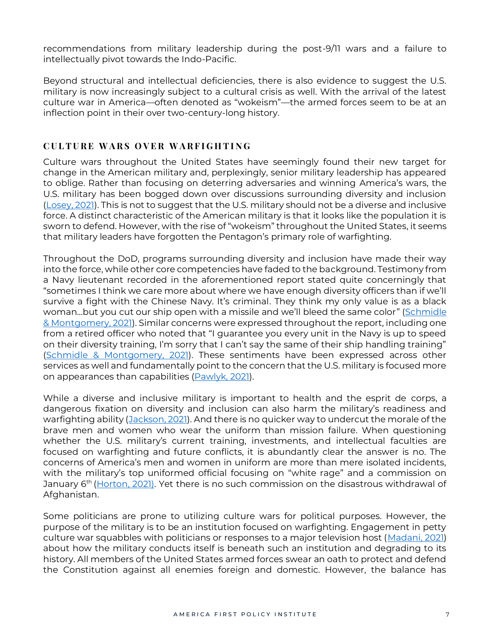recommendations from military leadership during the post-9/11 wars and a failure to intellectually pivot towards the Indo-Pacific.

Beyond structural and intellectual deficiencies, there is also evidence to suggest the U.S. military is now increasingly subject to a cultural crisis as well. With the arrival of the latest culture war in America—often denoted as "wokeism"—the armed forces seem to be at an inflection point in their over two-century-long history.

#### **C U L T U R E W A R S O V E R W A R F I G H T I N G**

Culture wars throughout the United States have seemingly found their new target for change in the American military and, perplexingly, senior military leadership has appeared to oblige. Rather than focusing on deterring adversaries and winning America's wars, the U.S. military has been bogged down over discussions surrounding diversity and inclusion [\(Losey, 2021\)](https://www.military.com/daily-news/2021/06/02/woke-criticism-grows-pentagon-says-no-apologies-diversity-programs.html). This is not to suggest that the U.S. military should not be a diverse and inclusive force. A distinct characteristic of the American military is that it looks like the population it is sworn to defend. However, with the rise of "wokeism" throughout the United States, it seems that military leaders have forgotten the Pentagon's primary role of warfighting.

Throughout the DoD, programs surrounding diversity and inclusion have made their way into the force, while other core competencies have faded to the background. Testimony from a Navy lieutenant recorded in the aforementioned report stated quite concerningly that "sometimes I think we care more about where we have enough diversity officers than if we'll survive a fight with the Chinese Navy. It's criminal. They think my only value is as a black woman…but you cut our ship open with a missile and we'll bleed the same color" [\(Schmidle](https://www.cotton.senate.gov/imo/media/doc/navy_report.pdf)  [& Montgomery, 2021\)](https://www.cotton.senate.gov/imo/media/doc/navy_report.pdf). Similar concerns were expressed throughout the report, including one from a retired officer who noted that "I guarantee you every unit in the Navy is up to speed on their diversity training, I'm sorry that I can't say the same of their ship handling training" [\(Schmidle & Montgomery, 2021\)](https://www.cotton.senate.gov/imo/media/doc/navy_report.pdf). These sentiments have been expressed across other services as well and fundamentally point to the concern that the U.S. military is focused more on appearances than capabilities [\(Pawlyk, 2021\)](https://www.military.com/daily-news/2021/05/15/space-force-co-who-got-holiday-call-trump-fired-over-comments-decrying-marxism-military.html).

While a diverse and inclusive military is important to health and the esprit de corps, a dangerous fixation on diversity and inclusion can also harm the military's readiness and warfighting ability [\(Jackson, 2021\)](https://www.wsj.com/articles/military-officers-affirmative-action-identity-politics-diversity-and-inclusion-national-security-11629402318?mod=opinion_lead_pos10). And there is no quicker way to undercut the morale of the brave men and women who wear the uniform than mission failure. When questioning whether the U.S. military's current training, investments, and intellectual faculties are focused on warfighting and future conflicts, it is abundantly clear the answer is no. The concerns of America's men and women in uniform are more than mere isolated incidents, with the military's top uniformed official focusing on "white rage" and a commission on January 6<sup>th</sup> [\(Horton, 2021\)](https://www.washingtonpost.com/powerpost/republicans-joint-chiefs-chairman-critical-race-theory-congress/2021/06/23/84654c34-d451-11eb-9f29-e9e6c9e843c6_story.html). Yet there is no such commission on the disastrous withdrawal of Afghanistan.

Some politicians are prone to utilizing culture wars for political purposes. However, the purpose of the military is to be an institution focused on warfighting. Engagement in petty culture war squabbles with politicians or responses to a major television host [\(Madani, 2021\)](https://www.nbcnews.com/politics/politics-news/tucker-carlson-slammed-military-leaders-mocking-pregnant-service-members-n1260726) about how the military conducts itself is beneath such an institution and degrading to its history. All members of the United States armed forces swear an oath to protect and defend the Constitution against all enemies foreign and domestic. However, the balance has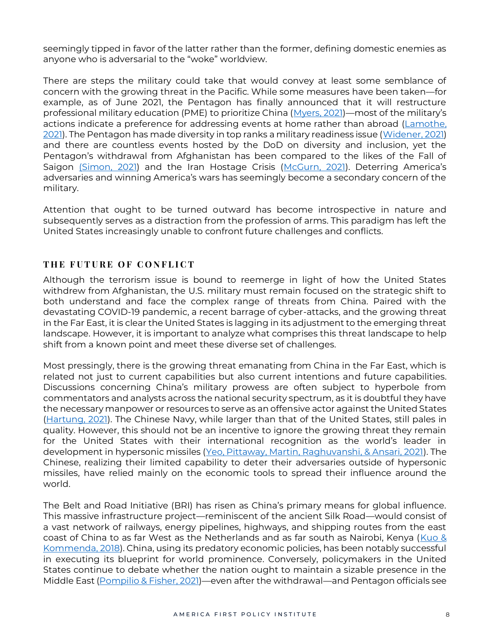seemingly tipped in favor of the latter rather than the former, defining domestic enemies as anyone who is adversarial to the "woke" worldview.

There are steps the military could take that would convey at least some semblance of concern with the growing threat in the Pacific. While some measures have been taken—for example, as of June 2021, the Pentagon has finally announced that it will restructure professional military education (PME) to prioritize China [\(Myers, 2021\)](https://www.militarytimes.com/news/your-military/2021/06/09/professional-military-education-is-getting-a-china-focused-upgrade/)—most of the military's actions indicate a preference for addressing events at home rather than abroad [\(Lamothe,](https://www.washingtonpost.com/national-security/military-coronavirus-response-extremism/2021/02/05/88aa7708-67d0-11eb-bf81-c618c88ed605_story.html)  [2021\)](https://www.washingtonpost.com/national-security/military-coronavirus-response-extremism/2021/02/05/88aa7708-67d0-11eb-bf81-c618c88ed605_story.html). The Pentagon has made diversity in top ranks a military readiness issue [\(Widener, 2021\)](https://americanmilitarynews.com/2021/05/biden-secdef-austin-racial-diversity-in-top-ranks-is-urgent-military-readiness-issue/) and there are countless events hosted by the DoD on diversity and inclusion, yet the Pentagon's withdrawal from Afghanistan has been compared to the likes of the Fall of Saigon [\(Simon, 2021\)](https://www.npr.org/2021/08/21/1029958787/kabul-saigon-paralells) and the Iran Hostage Crisis [\(McGurn, 2021](https://www.wsj.com/articles/biden-carter-weakness-saigon-afghanistan-withdrawal-iran-hostage-crisis-china-russia-11629141802)). Deterring America's adversaries and winning America's wars has seemingly become a secondary concern of the military.

Attention that ought to be turned outward has become introspective in nature and subsequently serves as a distraction from the profession of arms. This paradigm has left the United States increasingly unable to confront future challenges and conflicts.

## **THE FUTURE OF CONFLICT**

Although the terrorism issue is bound to reemerge in light of how the United States withdrew from Afghanistan, the U.S. military must remain focused on the strategic shift to both understand and face the complex range of threats from China. Paired with the devastating COVID-19 pandemic, a recent barrage of cyber-attacks, and the growing threat in the Far East, it is clear the United States is lagging in its adjustment to the emerging threat landscape. However, it is important to analyze what comprises this threat landscape to help shift from a known point and meet these diverse set of challenges.

Most pressingly, there is the growing threat emanating from China in the Far East, which is related not just to current capabilities but also current intentions and future capabilities. Discussions concerning China's military prowess are often subject to hyperbole from commentators and analysts across the national security spectrum, as it is doubtful they have the necessary manpower or resources to serve as an offensive actor against the United States [\(Hartung, 2021\)](https://www.forbes.com/sites/williamhartung/2021/06/22/exaggerating-challenge-from-china-threatens-us-security/?sh=2060236c5d19). The Chinese Navy, while larger than that of the United States, still pales in quality. However, this should not be an incentive to ignore the growing threat they remain for the United States with their international recognition as the world's leader in development in hypersonic missiles [\(Yeo, Pittaway, Martin, Raghuvanshi, & Ansari, 2021\)](https://www.defensenews.com/global/asia-pacific/2021/03/15/hypersonic-and-directed-energy-weapons-who-has-them-and-whos-winning-the-race-in-the-asia-pacific/). The Chinese, realizing their limited capability to deter their adversaries outside of hypersonic missiles, have relied mainly on the economic tools to spread their influence around the world.

The Belt and Road Initiative (BRI) has risen as China's primary means for global influence. This massive infrastructure project—reminiscent of the ancient Silk Road—would consist of a vast network of railways, energy pipelines, highways, and shipping routes from the east coast of China to as far West as the Netherlands and as far south as Nairobi, Kenya ( $Kuo &$ [Kommenda, 2018\)](https://www.theguardian.com/cities/ng-interactive/2018/jul/30/what-china-belt-road-initiative-silk-road-explainer). China, using its predatory economic policies, has been notably successful in executing its blueprint for world prominence. Conversely, policymakers in the United States continue to debate whether the nation ought to maintain a sizable presence in the Middle East [\(Pompilio & Fisher, 2021\)](https://www.washingtonpost.com/politics/us-attitudes-afghanistan-withdrawal/2021/08/21/62e6aa74-0103-11ec-ba7e-2cf966e88e93_story.html)—even after the withdrawal—and Pentagon officials see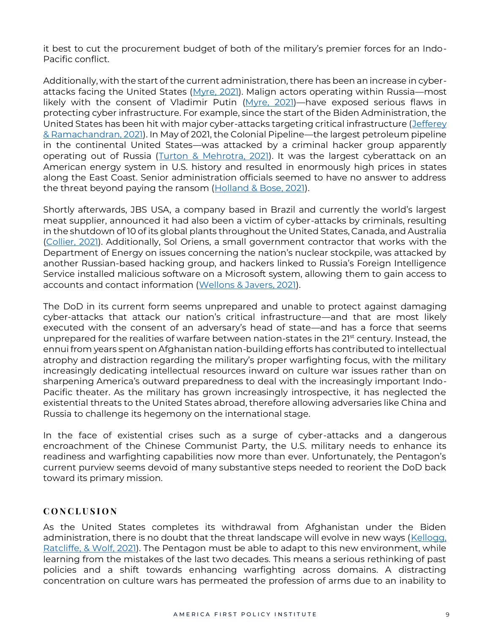it best to cut the procurement budget of both of the military's premier forces for an Indo-Pacific conflict.

Additionally, with the start of the current administration, there has been an increase in cyber-attacks facing the United States [\(Myre, 2021\)](https://www.npr.org/2021/06/04/1003262750/as-cyber-attacks-surge-biden-seeks-to-mount-a-better-defense). Malign actors operating within Russia-most likely with the consent of Vladimir Putin [\(Myre, 2021\)](https://www.npr.org/2021/06/04/1003262750/as-cyber-attacks-surge-biden-seeks-to-mount-a-better-defense)—have exposed serious flaws in protecting cyber infrastructure. For example, since the start of the Biden Administration, the United States has been hit with major cyber-attacks targeting critical infrastructure [\(Jefferey](https://www.pbs.org/newshour/nation/why-ransomware-attacks-are-on-the-rise-and-what-can-be-done-to-stop-them)  [& Ramachandran, 2021\)](https://www.pbs.org/newshour/nation/why-ransomware-attacks-are-on-the-rise-and-what-can-be-done-to-stop-them). In May of 2021, the Colonial Pipeline—the largest petroleum pipeline in the continental United States—was attacked by a criminal hacker group apparently operating out of Russia [\(Turton & Mehrotra, 2021\)](https://www.bloomberg.com/news/articles/2021-06-04/hackers-breached-colonial-pipeline-using-compromised-password). It was the largest cyberattack on an American energy system in U.S. history and resulted in enormously high prices in states along the East Coast. Senior administration officials seemed to have no answer to address the threat beyond paying the ransom [\(Holland & Bose, 2021\)](https://www.reuters.com/business/energy/us-probing-colonial-hackers-determine-if-they-have-ties-russia-2021-05-10/).

Shortly afterwards, JBS USA, a company based in Brazil and currently the world's largest meat supplier, announced it had also been a victim of cyber-attacks by criminals, resulting in the shutdown of 10 of its global plants throughout the United States, Canada, and Australia [\(Collier, 2021\)](https://www.cnbc.com/2021/06/09/jbs-paid-11-million-in-response-to-ransomware-attack-.html). Additionally, Sol Oriens, a small government contractor that works with the Department of Energy on issues concerning the nation's nuclear stockpile, was attacked by another Russian-based hacking group, and hackers linked to Russia's Foreign Intelligence Service installed malicious software on a Microsoft system, allowing them to gain access to accounts and contact information [\(Wellons & Javers, 2021\)](https://www.cnbc.com/2021/06/11/revil-hacker-group-attacks-sol-oriens-with-ransomware.html).

The DoD in its current form seems unprepared and unable to protect against damaging cyber-attacks that attack our nation's critical infrastructure—and that are most likely executed with the consent of an adversary's head of state—and has a force that seems unprepared for the realities of warfare between nation-states in the 21<sup>st</sup> century. Instead, the ennui from years spent on Afghanistan nation-building efforts has contributed to intellectual atrophy and distraction regarding the military's proper warfighting focus, with the military increasingly dedicating intellectual resources inward on culture war issues rather than on sharpening America's outward preparedness to deal with the increasingly important Indo-Pacific theater. As the military has grown increasingly introspective, it has neglected the existential threats to the United States abroad, therefore allowing adversaries like China and Russia to challenge its hegemony on the international stage.

In the face of existential crises such as a surge of cyber-attacks and a dangerous encroachment of the Chinese Communist Party, the U.S. military needs to enhance its readiness and warfighting capabilities now more than ever. Unfortunately, the Pentagon's current purview seems devoid of many substantive steps needed to reorient the DoD back toward its primary mission.

#### **C O N C L U S I O N**

As the United States completes its withdrawal from Afghanistan under the Biden administration, there is no doubt that the threat landscape will evolve in new ways (Kellogg, [Ratcliffe, & Wolf, 2021\)](https://www.foxnews.com/opinion/us-threats-20-years-9-11-afghanistan-withdrawal-kellogg-ratcliffe-wolf). The Pentagon must be able to adapt to this new environment, while learning from the mistakes of the last two decades. This means a serious rethinking of past policies and a shift towards enhancing warfighting across domains. A distracting concentration on culture wars has permeated the profession of arms due to an inability to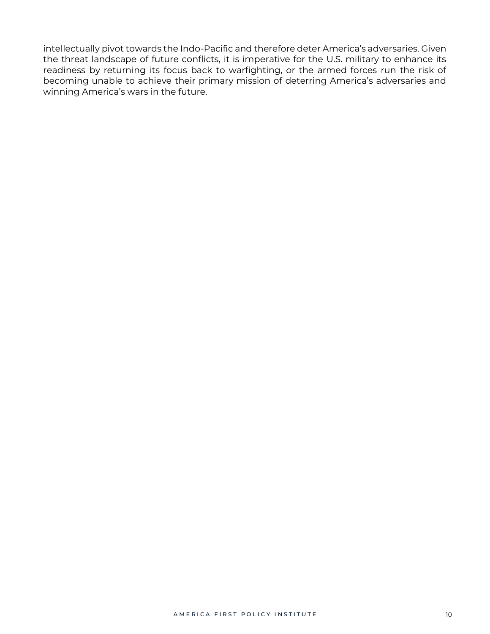intellectually pivot towards the Indo-Pacific and therefore deter America's adversaries. Given the threat landscape of future conflicts, it is imperative for the U.S. military to enhance its readiness by returning its focus back to warfighting, or the armed forces run the risk of becoming unable to achieve their primary mission of deterring America's adversaries and winning America's wars in the future.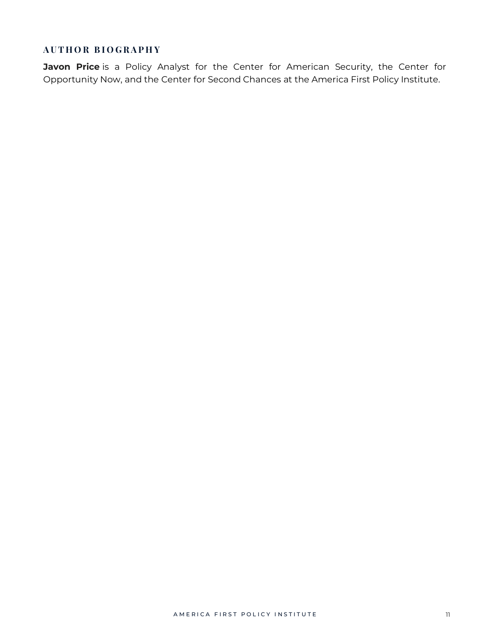## **A U T H O R B I O G R A P H Y**

**Javon Price** is a Policy Analyst for the Center for American Security, the Center for Opportunity Now, and the Center for Second Chances at the America First Policy Institute.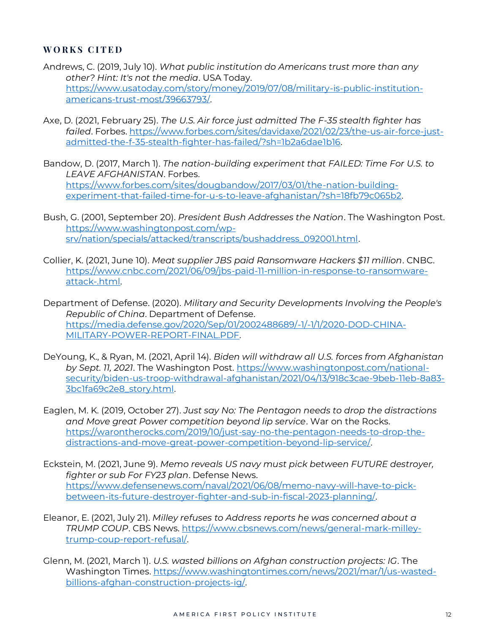#### **W O R K S C I T E D**

- Andrews, C. (2019, July 10). *What public institution do Americans trust more than any other? Hint: It's not the media*. USA Today. [https://www.usatoday.com/story/money/2019/07/08/military-is-public-institution](https://www.usatoday.com/story/money/2019/07/08/military-is-public-institution-americans-trust-most/39663793/)[americans-trust-most/39663793/.](https://www.usatoday.com/story/money/2019/07/08/military-is-public-institution-americans-trust-most/39663793/)
- Axe, D. (2021, February 25). *The U.S. Air force just admitted The F-35 stealth fighter has failed*. Forbes[. https://www.forbes.com/sites/davidaxe/2021/02/23/the-us-air-force-just](https://www.forbes.com/sites/davidaxe/2021/02/23/the-us-air-force-just-admitted-the-f-35-stealth-fighter-has-failed/?sh=1b2a6dae1b16)[admitted-the-f-35-stealth-fighter-has-failed/?sh=1b2a6dae1b16.](https://www.forbes.com/sites/davidaxe/2021/02/23/the-us-air-force-just-admitted-the-f-35-stealth-fighter-has-failed/?sh=1b2a6dae1b16)
- Bandow, D. (2017, March 1). *The nation-building experiment that FAILED: Time For U.S. to LEAVE AFGHANISTAN*. Forbes. [https://www.forbes.com/sites/dougbandow/2017/03/01/the-nation-building](https://www.forbes.com/sites/dougbandow/2017/03/01/the-nation-building-experiment-that-failed-time-for-u-s-to-leave-afghanistan/?sh=18fb79c065b2)[experiment-that-failed-time-for-u-s-to-leave-afghanistan/?sh=18fb79c065b2.](https://www.forbes.com/sites/dougbandow/2017/03/01/the-nation-building-experiment-that-failed-time-for-u-s-to-leave-afghanistan/?sh=18fb79c065b2)
- Bush, G. (2001, September 20). *President Bush Addresses the Nation*. The Washington Post. [https://www.washingtonpost.com/wp](https://www.washingtonpost.com/wp-srv/nation/specials/attacked/transcripts/bushaddress_092001.html)[srv/nation/specials/attacked/transcripts/bushaddress\\_092001.html.](https://www.washingtonpost.com/wp-srv/nation/specials/attacked/transcripts/bushaddress_092001.html)
- Collier, K. (2021, June 10). *Meat supplier JBS paid Ransomware Hackers \$11 million*. CNBC. [https://www.cnbc.com/2021/06/09/jbs-paid-11-million-in-response-to-ransomware](https://www.cnbc.com/2021/06/09/jbs-paid-11-million-in-response-to-ransomware-attack-.html)[attack-.html.](https://www.cnbc.com/2021/06/09/jbs-paid-11-million-in-response-to-ransomware-attack-.html)
- Department of Defense. (2020). *Military and Security Developments Involving the People's Republic of China*. Department of Defense. [https://media.defense.gov/2020/Sep/01/2002488689/-1/-1/1/2020-DOD-CHINA-](https://media.defense.gov/2020/Sep/01/2002488689/-1/-1/1/2020-DOD-CHINA-MILITARY-POWER-REPORT-FINAL.PDF)[MILITARY-POWER-REPORT-FINAL.PDF.](https://media.defense.gov/2020/Sep/01/2002488689/-1/-1/1/2020-DOD-CHINA-MILITARY-POWER-REPORT-FINAL.PDF)
- DeYoung, K., & Ryan, M. (2021, April 14). *Biden will withdraw all U.S. forces from Afghanistan by Sept. 11, 2021*. The Washington Post. [https://www.washingtonpost.com/national](https://www.washingtonpost.com/national-security/biden-us-troop-withdrawal-afghanistan/2021/04/13/918c3cae-9beb-11eb-8a83-3bc1fa69c2e8_story.html)[security/biden-us-troop-withdrawal-afghanistan/2021/04/13/918c3cae-9beb-11eb-8a83-](https://www.washingtonpost.com/national-security/biden-us-troop-withdrawal-afghanistan/2021/04/13/918c3cae-9beb-11eb-8a83-3bc1fa69c2e8_story.html) [3bc1fa69c2e8\\_story.html.](https://www.washingtonpost.com/national-security/biden-us-troop-withdrawal-afghanistan/2021/04/13/918c3cae-9beb-11eb-8a83-3bc1fa69c2e8_story.html)
- Eaglen, M. K. (2019, October 27). *Just say No: The Pentagon needs to drop the distractions and Move great Power competition beyond lip service*. War on the Rocks. [https://warontherocks.com/2019/10/just-say-no-the-pentagon-needs-to-drop-the](https://warontherocks.com/2019/10/just-say-no-the-pentagon-needs-to-drop-the-distractions-and-move-great-power-competition-beyond-lip-service/)[distractions-and-move-great-power-competition-beyond-lip-service/.](https://warontherocks.com/2019/10/just-say-no-the-pentagon-needs-to-drop-the-distractions-and-move-great-power-competition-beyond-lip-service/)
- Eckstein, M. (2021, June 9). *Memo reveals US navy must pick between FUTURE destroyer, fighter or sub For FY23 plan*. Defense News. [https://www.defensenews.com/naval/2021/06/08/memo-navy-will-have-to-pick](https://www.defensenews.com/naval/2021/06/08/memo-navy-will-have-to-pick-between-its-future-destroyer-fighter-and-sub-in-fiscal-2023-planning/)[between-its-future-destroyer-fighter-and-sub-in-fiscal-2023-planning/.](https://www.defensenews.com/naval/2021/06/08/memo-navy-will-have-to-pick-between-its-future-destroyer-fighter-and-sub-in-fiscal-2023-planning/)
- Eleanor, E. (2021, July 21). *Milley refuses to Address reports he was concerned about a TRUMP COUP*. CBS News. [https://www.cbsnews.com/news/general-mark-milley](https://www.cbsnews.com/news/general-mark-milley-trump-coup-report-refusal/)[trump-coup-report-refusal/.](https://www.cbsnews.com/news/general-mark-milley-trump-coup-report-refusal/)
- Glenn, M. (2021, March 1). *U.S. wasted billions on Afghan construction projects: IG*. The Washington Times. [https://www.washingtontimes.com/news/2021/mar/1/us-wasted](https://www.washingtontimes.com/news/2021/mar/1/us-wasted-billions-afghan-construction-projects-ig/)[billions-afghan-construction-projects-ig/.](https://www.washingtontimes.com/news/2021/mar/1/us-wasted-billions-afghan-construction-projects-ig/)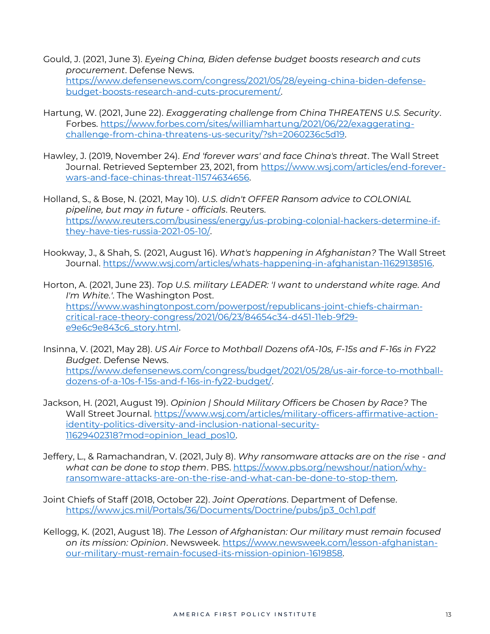- Gould, J. (2021, June 3). *Eyeing China, Biden defense budget boosts research and cuts procurement*. Defense News. [https://www.defensenews.com/congress/2021/05/28/eyeing-china-biden-defense](https://www.defensenews.com/congress/2021/05/28/eyeing-china-biden-defense-budget-boosts-research-and-cuts-procurement/)[budget-boosts-research-and-cuts-procurement/.](https://www.defensenews.com/congress/2021/05/28/eyeing-china-biden-defense-budget-boosts-research-and-cuts-procurement/)
- Hartung, W. (2021, June 22). *Exaggerating challenge from China THREATENS U.S. Security*. Forbes. [https://www.forbes.com/sites/williamhartung/2021/06/22/exaggerating](https://www.forbes.com/sites/williamhartung/2021/06/22/exaggerating-challenge-from-china-threatens-us-security/?sh=2060236c5d19)[challenge-from-china-threatens-us-security/?sh=2060236c5d19.](https://www.forbes.com/sites/williamhartung/2021/06/22/exaggerating-challenge-from-china-threatens-us-security/?sh=2060236c5d19)
- Hawley, J. (2019, November 24). *End 'forever wars' and face China's threat*. The Wall Street Journal. Retrieved September 23, 2021, from [https://www.wsj.com/articles/end-forever](https://www.wsj.com/articles/end-forever-wars-and-face-chinas-threat-11574634656)[wars-and-face-chinas-threat-11574634656.](https://www.wsj.com/articles/end-forever-wars-and-face-chinas-threat-11574634656)
- Holland, S., & Bose, N. (2021, May 10). *U.S. didn't OFFER Ransom advice to COLONIAL pipeline, but may in future - officials*. Reuters. [https://www.reuters.com/business/energy/us-probing-colonial-hackers-determine-if](https://www.reuters.com/business/energy/us-probing-colonial-hackers-determine-if-they-have-ties-russia-2021-05-10/)[they-have-ties-russia-2021-05-10/.](https://www.reuters.com/business/energy/us-probing-colonial-hackers-determine-if-they-have-ties-russia-2021-05-10/)
- Hookway, J., & Shah, S. (2021, August 16). *What's happening in Afghanistan?* The Wall Street Journal. [https://www.wsj.com/articles/whats-happening-in-afghanistan-11629138516.](https://www.wsj.com/articles/whats-happening-in-afghanistan-11629138516)

Horton, A. (2021, June 23). *Top U.S. military LEADER: 'I want to understand white rage. And I'm White.'*. The Washington Post. [https://www.washingtonpost.com/powerpost/republicans-joint-chiefs-chairman](https://www.washingtonpost.com/powerpost/republicans-joint-chiefs-chairman-critical-race-theory-congress/2021/06/23/84654c34-d451-11eb-9f29-e9e6c9e843c6_story.html)[critical-race-theory-congress/2021/06/23/84654c34-d451-11eb-9f29](https://www.washingtonpost.com/powerpost/republicans-joint-chiefs-chairman-critical-race-theory-congress/2021/06/23/84654c34-d451-11eb-9f29-e9e6c9e843c6_story.html) [e9e6c9e843c6\\_story.html.](https://www.washingtonpost.com/powerpost/republicans-joint-chiefs-chairman-critical-race-theory-congress/2021/06/23/84654c34-d451-11eb-9f29-e9e6c9e843c6_story.html) 

- Insinna, V. (2021, May 28). *US Air Force to Mothball Dozens ofA-10s, F-15s and F-16s in FY22 Budget*. Defense News. [https://www.defensenews.com/congress/budget/2021/05/28/us-air-force-to-mothball](https://www.defensenews.com/congress/budget/2021/05/28/us-air-force-to-mothball-dozens-of-a-10s-f-15s-and-f-16s-in-fy22-budget/)[dozens-of-a-10s-f-15s-and-f-16s-in-fy22-budget/.](https://www.defensenews.com/congress/budget/2021/05/28/us-air-force-to-mothball-dozens-of-a-10s-f-15s-and-f-16s-in-fy22-budget/)
- Jackson, H. (2021, August 19). *Opinion | Should Military Officers be Chosen by Race?* The Wall Street Journal. [https://www.wsj.com/articles/military-officers-affirmative-action](https://www.wsj.com/articles/military-officers-affirmative-action-identity-politics-diversity-and-inclusion-national-security-11629402318?mod=opinion_lead_pos10)[identity-politics-diversity-and-inclusion-national-security-](https://www.wsj.com/articles/military-officers-affirmative-action-identity-politics-diversity-and-inclusion-national-security-11629402318?mod=opinion_lead_pos10)[11629402318?mod=opinion\\_lead\\_pos10.](https://www.wsj.com/articles/military-officers-affirmative-action-identity-politics-diversity-and-inclusion-national-security-11629402318?mod=opinion_lead_pos10)
- Jeffery, L., & Ramachandran, V. (2021, July 8). *Why ransomware attacks are on the rise - and what can be done to stop them*. PBS. [https://www.pbs.org/newshour/nation/why](https://www.pbs.org/newshour/nation/why-ransomware-attacks-are-on-the-rise-and-what-can-be-done-to-stop-them)[ransomware-attacks-are-on-the-rise-and-what-can-be-done-to-stop-them.](https://www.pbs.org/newshour/nation/why-ransomware-attacks-are-on-the-rise-and-what-can-be-done-to-stop-them)
- Joint Chiefs of Staff (2018, October 22). *Joint Operations*. Department of Defense. [https://www.jcs.mil/Portals/36/Documents/Doctrine/pubs/jp3\\_0ch1.pdf](https://www.jcs.mil/Portals/36/Documents/Doctrine/pubs/jp3_0ch1.pdf)
- Kellogg, K. (2021, August 18). *The Lesson of Afghanistan: Our military must remain focused on its mission: Opinion*. Newsweek. [https://www.newsweek.com/lesson-afghanistan](https://www.newsweek.com/lesson-afghanistan-our-military-must-remain-focused-its-mission-opinion-1619858)[our-military-must-remain-focused-its-mission-opinion-1619858.](https://www.newsweek.com/lesson-afghanistan-our-military-must-remain-focused-its-mission-opinion-1619858)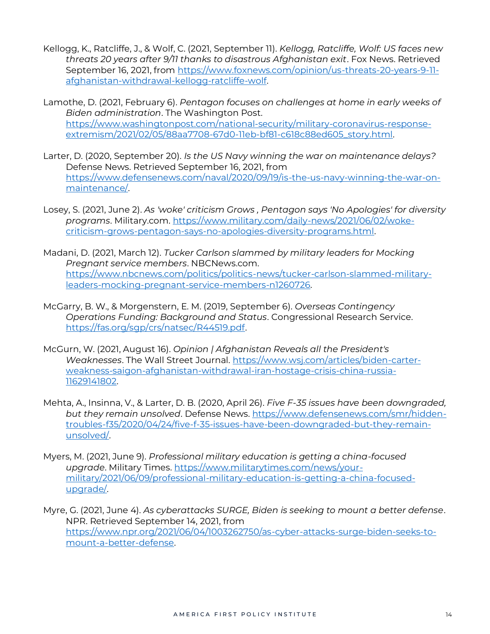- Kellogg, K., Ratcliffe, J., & Wolf, C. (2021, September 11). *Kellogg, Ratcliffe, Wolf: US faces new threats 20 years after 9/11 thanks to disastrous Afghanistan exit*. Fox News. Retrieved September 16, 2021, from [https://www.foxnews.com/opinion/us-threats-20-years-9-11](https://www.foxnews.com/opinion/us-threats-20-years-9-11-afghanistan-withdrawal-kellogg-ratcliffe-wolf) [afghanistan-withdrawal-kellogg-ratcliffe-wolf.](https://www.foxnews.com/opinion/us-threats-20-years-9-11-afghanistan-withdrawal-kellogg-ratcliffe-wolf)
- Lamothe, D. (2021, February 6). *Pentagon focuses on challenges at home in early weeks of Biden administration*. The Washington Post. [https://www.washingtonpost.com/national-security/military-coronavirus-response](https://www.washingtonpost.com/national-security/military-coronavirus-response-extremism/2021/02/05/88aa7708-67d0-11eb-bf81-c618c88ed605_story.html)[extremism/2021/02/05/88aa7708-67d0-11eb-bf81-c618c88ed605\\_story.html.](https://www.washingtonpost.com/national-security/military-coronavirus-response-extremism/2021/02/05/88aa7708-67d0-11eb-bf81-c618c88ed605_story.html)
- Larter, D. (2020, September 20). *Is the US Navy winning the war on maintenance delays?* Defense News. Retrieved September 16, 2021, from [https://www.defensenews.com/naval/2020/09/19/is-the-us-navy-winning-the-war-on](https://www.defensenews.com/naval/2020/09/19/is-the-us-navy-winning-the-war-on-maintenance/)[maintenance/.](https://www.defensenews.com/naval/2020/09/19/is-the-us-navy-winning-the-war-on-maintenance/)
- Losey, S. (2021, June 2). *As 'woke' criticism Grows , Pentagon says 'No Apologies' for diversity programs*. Military.com. [https://www.military.com/daily-news/2021/06/02/woke](https://www.military.com/daily-news/2021/06/02/woke-criticism-grows-pentagon-says-no-apologies-diversity-programs.html)[criticism-grows-pentagon-says-no-apologies-diversity-programs.html.](https://www.military.com/daily-news/2021/06/02/woke-criticism-grows-pentagon-says-no-apologies-diversity-programs.html)
- Madani, D. (2021, March 12). *Tucker Carlson slammed by military leaders for Mocking Pregnant service members*. NBCNews.com. [https://www.nbcnews.com/politics/politics-news/tucker-carlson-slammed-military](https://www.nbcnews.com/politics/politics-news/tucker-carlson-slammed-military-leaders-mocking-pregnant-service-members-n1260726)[leaders-mocking-pregnant-service-members-n1260726.](https://www.nbcnews.com/politics/politics-news/tucker-carlson-slammed-military-leaders-mocking-pregnant-service-members-n1260726)
- McGarry, B. W., & Morgenstern, E. M. (2019, September 6). *Overseas Contingency Operations Funding: Background and Status*. Congressional Research Service. [https://fas.org/sgp/crs/natsec/R44519.pdf.](https://fas.org/sgp/crs/natsec/R44519.pdf)
- McGurn, W. (2021, August 16). *Opinion | Afghanistan Reveals all the President's Weaknesses*. The Wall Street Journal. [https://www.wsj.com/articles/biden-carter](https://www.wsj.com/articles/biden-carter-weakness-saigon-afghanistan-withdrawal-iran-hostage-crisis-china-russia-11629141802)[weakness-saigon-afghanistan-withdrawal-iran-hostage-crisis-china-russia-](https://www.wsj.com/articles/biden-carter-weakness-saigon-afghanistan-withdrawal-iran-hostage-crisis-china-russia-11629141802)[11629141802.](https://www.wsj.com/articles/biden-carter-weakness-saigon-afghanistan-withdrawal-iran-hostage-crisis-china-russia-11629141802)
- Mehta, A., Insinna, V., & Larter, D. B. (2020, April 26). *Five F-35 issues have been downgraded, but they remain unsolved*. Defense News. [https://www.defensenews.com/smr/hidden](https://www.defensenews.com/smr/hidden-troubles-f35/2020/04/24/five-f-35-issues-have-been-downgraded-but-they-remain-unsolved/)[troubles-f35/2020/04/24/five-f-35-issues-have-been-downgraded-but-they-remain](https://www.defensenews.com/smr/hidden-troubles-f35/2020/04/24/five-f-35-issues-have-been-downgraded-but-they-remain-unsolved/)[unsolved/.](https://www.defensenews.com/smr/hidden-troubles-f35/2020/04/24/five-f-35-issues-have-been-downgraded-but-they-remain-unsolved/)
- Myers, M. (2021, June 9). *Professional military education is getting a china-focused upgrade*. Military Times[. https://www.militarytimes.com/news/your](https://www.militarytimes.com/news/your-military/2021/06/09/professional-military-education-is-getting-a-china-focused-upgrade/)[military/2021/06/09/professional-military-education-is-getting-a-china-focused](https://www.militarytimes.com/news/your-military/2021/06/09/professional-military-education-is-getting-a-china-focused-upgrade/)[upgrade/.](https://www.militarytimes.com/news/your-military/2021/06/09/professional-military-education-is-getting-a-china-focused-upgrade/)
- Myre, G. (2021, June 4). *As cyberattacks SURGE, Biden is seeking to mount a better defense*. NPR. Retrieved September 14, 2021, from [https://www.npr.org/2021/06/04/1003262750/as-cyber-attacks-surge-biden-seeks-to](https://www.npr.org/2021/06/04/1003262750/as-cyber-attacks-surge-biden-seeks-to-mount-a-better-defense)[mount-a-better-defense.](https://www.npr.org/2021/06/04/1003262750/as-cyber-attacks-surge-biden-seeks-to-mount-a-better-defense)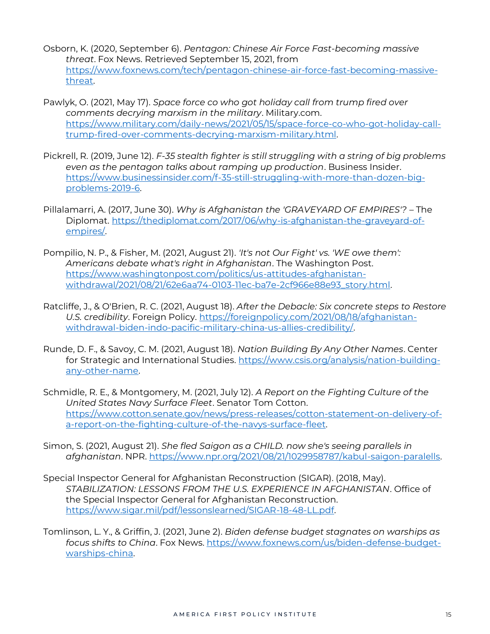- Osborn, K. (2020, September 6). *Pentagon: Chinese Air Force Fast-becoming massive threat*. Fox News. Retrieved September 15, 2021, from [https://www.foxnews.com/tech/pentagon-chinese-air-force-fast-becoming-massive](https://www.foxnews.com/tech/pentagon-chinese-air-force-fast-becoming-massive-threat)[threat.](https://www.foxnews.com/tech/pentagon-chinese-air-force-fast-becoming-massive-threat)
- Pawlyk, O. (2021, May 17). *Space force co who got holiday call from trump fired over comments decrying marxism in the military*. Military.com. [https://www.military.com/daily-news/2021/05/15/space-force-co-who-got-holiday-call](https://www.military.com/daily-news/2021/05/15/space-force-co-who-got-holiday-call-trump-fired-over-comments-decrying-marxism-military.html)[trump-fired-over-comments-decrying-marxism-military.html.](https://www.military.com/daily-news/2021/05/15/space-force-co-who-got-holiday-call-trump-fired-over-comments-decrying-marxism-military.html)
- Pickrell, R. (2019, June 12). *F-35 stealth fighter is still struggling with a string of big problems even as the pentagon talks about ramping up production*. Business Insider. [https://www.businessinsider.com/f-35-still-struggling-with-more-than-dozen-big](https://www.businessinsider.com/f-35-still-struggling-with-more-than-dozen-big-problems-2019-6)[problems-2019-6.](https://www.businessinsider.com/f-35-still-struggling-with-more-than-dozen-big-problems-2019-6)
- Pillalamarri, A. (2017, June 30). *Why is Afghanistan the 'GRAVEYARD OF EMPIRES'?* The Diplomat. [https://thediplomat.com/2017/06/why-is-afghanistan-the-graveyard-of](https://thediplomat.com/2017/06/why-is-afghanistan-the-graveyard-of-empires/)[empires/.](https://thediplomat.com/2017/06/why-is-afghanistan-the-graveyard-of-empires/)
- Pompilio, N. P., & Fisher, M. (2021, August 21). *'It's not Our Fight' vs. 'WE owe them': Americans debate what's right in Afghanistan*. The Washington Post. [https://www.washingtonpost.com/politics/us-attitudes-afghanistan](https://www.washingtonpost.com/politics/us-attitudes-afghanistan-withdrawal/2021/08/21/62e6aa74-0103-11ec-ba7e-2cf966e88e93_story.html)[withdrawal/2021/08/21/62e6aa74-0103-11ec-ba7e-2cf966e88e93\\_story.html.](https://www.washingtonpost.com/politics/us-attitudes-afghanistan-withdrawal/2021/08/21/62e6aa74-0103-11ec-ba7e-2cf966e88e93_story.html)
- Ratcliffe, J., & O'Brien, R. C. (2021, August 18). *After the Debacle: Six concrete steps to Restore U.S. credibility*. Foreign Policy. [https://foreignpolicy.com/2021/08/18/afghanistan](https://foreignpolicy.com/2021/08/18/afghanistan-withdrawal-biden-indo-pacific-military-china-us-allies-credibility/)[withdrawal-biden-indo-pacific-military-china-us-allies-credibility/.](https://foreignpolicy.com/2021/08/18/afghanistan-withdrawal-biden-indo-pacific-military-china-us-allies-credibility/)
- Runde, D. F., & Savoy, C. M. (2021, August 18). *Nation Building By Any Other Names*. Center for Strategic and International Studies. [https://www.csis.org/analysis/nation-building](https://www.csis.org/analysis/nation-building-any-other-name)[any-other-name.](https://www.csis.org/analysis/nation-building-any-other-name)
- Schmidle, R. E., & Montgomery, M. (2021, July 12). *A Report on the Fighting Culture of the United States Navy Surface Fleet*. Senator Tom Cotton. [https://www.cotton.senate.gov/news/press-releases/cotton-statement-on-delivery-of](https://www.cotton.senate.gov/news/press-releases/cotton-statement-on-delivery-of-a-report-on-the-fighting-culture-of-the-navys-surface-fleet)[a-report-on-the-fighting-culture-of-the-navys-surface-fleet.](https://www.cotton.senate.gov/news/press-releases/cotton-statement-on-delivery-of-a-report-on-the-fighting-culture-of-the-navys-surface-fleet)
- Simon, S. (2021, August 21). *She fled Saigon as a CHILD. now she's seeing parallels in afghanistan*. NPR. [https://www.npr.org/2021/08/21/1029958787/kabul-saigon-paralells.](https://www.npr.org/2021/08/21/1029958787/kabul-saigon-paralells)
- Special Inspector General for Afghanistan Reconstruction (SIGAR). (2018, May). *STABILIZATION: LESSONS FROM THE U.S. EXPERIENCE IN AFGHANISTAN*. Office of the Special Inspector General for Afghanistan Reconstruction. [https://www.sigar.mil/pdf/lessonslearned/SIGAR-18-48-LL.pdf.](https://www.sigar.mil/pdf/lessonslearned/SIGAR-18-48-LL.pdf)
- Tomlinson, L. Y., & Griffin, J. (2021, June 2). *Biden defense budget stagnates on warships as focus shifts to China*. Fox News. [https://www.foxnews.com/us/biden-defense-budget](https://www.foxnews.com/us/biden-defense-budget-warships-china)[warships-china.](https://www.foxnews.com/us/biden-defense-budget-warships-china)